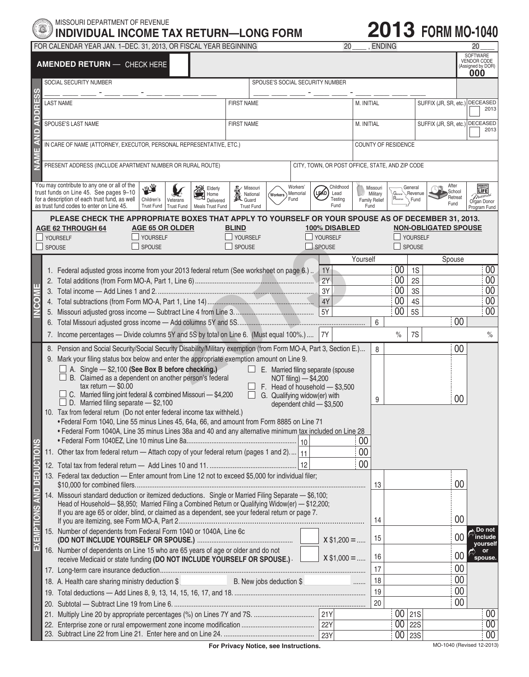## MISSOURI DEPARTMENT OF REVENUE **INDIVIDUAL INCOME TAX RETURN—LONG FORM**

## **2013 FORM MO-1040**

|                                  |                                                                                                              | FOR CALENDAR YEAR JAN. 1-DEC. 31, 2013, OR FISCAL YEAR BEGINNING                                                                                                                                                                                                                                 |                                                                 |                                     |                              | 20                                             |                                                      | <b>ENDING</b> |                                                   |                                    | 20                                                                    |
|----------------------------------|--------------------------------------------------------------------------------------------------------------|--------------------------------------------------------------------------------------------------------------------------------------------------------------------------------------------------------------------------------------------------------------------------------------------------|-----------------------------------------------------------------|-------------------------------------|------------------------------|------------------------------------------------|------------------------------------------------------|---------------|---------------------------------------------------|------------------------------------|-----------------------------------------------------------------------|
|                                  |                                                                                                              | <b>AMENDED RETURN - CHECK HERE</b>                                                                                                                                                                                                                                                               |                                                                 |                                     |                              |                                                |                                                      |               |                                                   |                                    | SOFTWARE<br><b>VENDOR CODE</b><br>(Assigned by DOR)<br>000            |
| ESS                              |                                                                                                              | SOCIAL SECURITY NUMBER                                                                                                                                                                                                                                                                           |                                                                 | SPOUSE'S SOCIAL SECURITY NUMBER     |                              |                                                |                                                      |               |                                                   |                                    |                                                                       |
| DDRI                             |                                                                                                              | <b>LAST NAME</b>                                                                                                                                                                                                                                                                                 | <b>FIRST NAME</b>                                               |                                     |                              | M. INITIAL                                     |                                                      |               | SUFFIX (JR, SR, etc.) DECEASED                    | 2013                               |                                                                       |
| ⋖                                |                                                                                                              | SPOUSE'S LAST NAME                                                                                                                                                                                                                                                                               | <b>FIRST NAME</b>                                               |                                     |                              | M. INITIAL                                     |                                                      |               | SUFFIX (JR, SR, etc.) DECEASED                    | 2013                               |                                                                       |
| AND                              |                                                                                                              | IN CARE OF NAME (ATTORNEY, EXECUTOR, PERSONAL REPRESENTATIVE, ETC.)                                                                                                                                                                                                                              |                                                                 |                                     |                              |                                                | <b>COUNTY OF RESIDENCE</b>                           |               |                                                   |                                    |                                                                       |
| NAMI                             | PRESENT ADDRESS (INCLUDE APARTMENT NUMBER OR RURAL ROUTE)<br>CITY, TOWN, OR POST OFFICE, STATE, AND ZIP CODE |                                                                                                                                                                                                                                                                                                  |                                                                 |                                     |                              |                                                |                                                      |               |                                                   |                                    |                                                                       |
|                                  |                                                                                                              | You may contribute to any one or all of the<br>传<br>Elderly<br>Home<br>trust funds on Line 45. See pages 9-10<br>for a description of each trust fund, as well<br>Children's<br>Veterans<br>Delivered<br>as trust fund codes to enter on Line 45.<br>Trust Fund   Trust Fund<br>Meals Trust Fund | <b>K</b> Missouri<br>National<br>A Nationa<br><b>Trust Fund</b> | Workers                             | Workers'<br>Memorial<br>Fund | Childhood<br>(le∕o`<br>Lead<br>Testing<br>Fund | Missouri<br>Military<br><b>Family Relief</b><br>Fund | Revenue       | General<br>$General$ <sub>7</sub> Revenue<br>Rund | After<br>School<br>Retreat<br>Fund | <b>DONATE</b><br><b>TIFE</b><br>missou<br>Organ Donor<br>Program Fund |
|                                  | SPOUSE                                                                                                       | PLEASE CHECK THE APPROPRIATE BOXES THAT APPLY TO YOURSELF OR YOUR SPOUSE AS OF DECEMBER 31, 2013.<br><b>AGE 65 OR OLDER</b><br><b>AGE 62 THROUGH 64</b><br>VOURSELF<br><b>YOURSELF</b><br>SPOUSE                                                                                                 | <b>BLIND</b><br>YOURSELF<br>SPOUSE                              |                                     |                              | 100% DISABLED<br>YOURSELF<br>$\Box$ SPOUSE     |                                                      |               | VOURSELF<br>$\Box$ SPOUSE                         | <b>NON-OBLIGATED SPOUSE</b>        |                                                                       |
|                                  |                                                                                                              |                                                                                                                                                                                                                                                                                                  |                                                                 |                                     |                              |                                                | Yourself                                             |               |                                                   | Spouse                             |                                                                       |
|                                  |                                                                                                              | 1. Federal adjusted gross income from your 2013 federal return (See worksheet on page 6.)                                                                                                                                                                                                        |                                                                 |                                     |                              | 1Y                                             |                                                      | 00            | 1S                                                |                                    | $00\,$                                                                |
|                                  |                                                                                                              |                                                                                                                                                                                                                                                                                                  |                                                                 |                                     |                              | 2Y                                             |                                                      | 00            | 2S                                                |                                    | $00\,$                                                                |
| ш                                |                                                                                                              |                                                                                                                                                                                                                                                                                                  |                                                                 |                                     |                              | 3Y                                             |                                                      | 00            | 3S                                                |                                    | 00                                                                    |
| <b>NCOM</b>                      |                                                                                                              |                                                                                                                                                                                                                                                                                                  |                                                                 |                                     |                              | 4Y                                             |                                                      | 00            | 4S                                                |                                    | 00                                                                    |
|                                  |                                                                                                              |                                                                                                                                                                                                                                                                                                  |                                                                 |                                     |                              | 5Y                                             |                                                      | 00            | <b>5S</b>                                         |                                    | 00                                                                    |
|                                  |                                                                                                              |                                                                                                                                                                                                                                                                                                  |                                                                 |                                     |                              |                                                | 6                                                    |               |                                                   | 00                                 |                                                                       |
|                                  |                                                                                                              | 7. Income percentages - Divide columns 5Y and 5S by total on Line 6. (Must equal 100%.)                                                                                                                                                                                                          |                                                                 |                                     |                              | <b>7Y</b>                                      |                                                      | $\%$          | 7S                                                |                                    | $\%$                                                                  |
|                                  |                                                                                                              | 8. Pension and Social Security/Social Security Disability/Military exemption (from Form MO-A, Part 3, Section E.)                                                                                                                                                                                |                                                                 |                                     |                              |                                                | 8                                                    |               |                                                   | 00                                 |                                                                       |
|                                  | 9. Mark your filing status box below and enter the appropriate exemption amount on Line 9.                   |                                                                                                                                                                                                                                                                                                  |                                                                 |                                     |                              |                                                |                                                      |               |                                                   |                                    |                                                                       |
|                                  |                                                                                                              | $\Box$ A. Single $-$ \$2,100 (See Box B before checking.)                                                                                                                                                                                                                                        |                                                                 | E. Married filing separate (spouse  |                              |                                                |                                                      |               |                                                   |                                    |                                                                       |
|                                  |                                                                                                              | B. Claimed as a dependent on another person's federal<br>NOT filing) - \$4,200<br>$tax$ return $-$ \$0.00<br>F. Head of household - \$3,500                                                                                                                                                      |                                                                 |                                     |                              |                                                |                                                      |               |                                                   |                                    |                                                                       |
|                                  |                                                                                                              | C. Married filing joint federal & combined Missouri - \$4,200                                                                                                                                                                                                                                    |                                                                 | $\Box$ G. Qualifying widow(er) with |                              |                                                |                                                      |               |                                                   |                                    |                                                                       |
|                                  |                                                                                                              | $\Box$ D. Married filing separate $-$ \$2,100                                                                                                                                                                                                                                                    |                                                                 | dependent child - \$3,500           |                              |                                                | 9                                                    |               |                                                   | 00                                 |                                                                       |
|                                  |                                                                                                              | 10. Tax from federal return (Do not enter federal income tax withheld.)                                                                                                                                                                                                                          |                                                                 |                                     |                              |                                                |                                                      |               |                                                   |                                    |                                                                       |
|                                  |                                                                                                              | • Federal Form 1040, Line 55 minus Lines 45, 64a, 66, and amount from Form 8885 on Line 71<br>• Federal Form 1040A, Line 35 minus Lines 38a and 40 and any alternative minimum tax included on Line 28                                                                                           |                                                                 |                                     |                              |                                                |                                                      |               |                                                   |                                    |                                                                       |
|                                  |                                                                                                              | 00                                                                                                                                                                                                                                                                                               |                                                                 |                                     |                              |                                                |                                                      |               |                                                   |                                    |                                                                       |
|                                  |                                                                                                              | 11. Other tax from federal return - Attach copy of your federal return (pages 1 and 2) 11                                                                                                                                                                                                        |                                                                 |                                     |                              |                                                | 00                                                   |               |                                                   |                                    |                                                                       |
| <b>EXEMPTIONS AND DEDUCTIONS</b> |                                                                                                              | 00<br>12                                                                                                                                                                                                                                                                                         |                                                                 |                                     |                              |                                                |                                                      |               |                                                   |                                    |                                                                       |
|                                  |                                                                                                              | 13. Federal tax deduction - Enter amount from Line 12 not to exceed \$5,000 for individual filer;                                                                                                                                                                                                |                                                                 |                                     |                              |                                                |                                                      |               |                                                   |                                    |                                                                       |
|                                  |                                                                                                              |                                                                                                                                                                                                                                                                                                  |                                                                 |                                     |                              |                                                | 13                                                   |               |                                                   | 00                                 |                                                                       |
|                                  |                                                                                                              | 14. Missouri standard deduction or itemized deductions. Single or Married Filing Separate - \$6,100;<br>Head of Household-\$8,950; Married Filing a Combined Return or Qualifying Widow(er) - \$12,200;                                                                                          |                                                                 |                                     |                              |                                                |                                                      |               |                                                   |                                    |                                                                       |
|                                  |                                                                                                              | If you are age 65 or older, blind, or claimed as a dependent, see your federal return or page 7.                                                                                                                                                                                                 |                                                                 |                                     |                              |                                                |                                                      |               |                                                   |                                    |                                                                       |
|                                  |                                                                                                              |                                                                                                                                                                                                                                                                                                  |                                                                 |                                     |                              |                                                | 14                                                   |               |                                                   | 00                                 |                                                                       |
|                                  |                                                                                                              | 15. Number of dependents from Federal Form 1040 or 1040A, Line 6c                                                                                                                                                                                                                                |                                                                 |                                     |                              | $X $1,200 = $                                  | 15                                                   |               |                                                   | 00                                 | ⊾ Do not<br>include<br>yourself                                       |
|                                  |                                                                                                              | 16. Number of dependents on Line 15 who are 65 years of age or older and do not<br>receive Medicaid or state funding (DO NOT INCLUDE YOURSELF OR SPOUSE.).                                                                                                                                       |                                                                 |                                     |                              | $X$ \$1,000 =                                  | 16                                                   |               |                                                   | 00                                 | or<br>spouse.                                                         |
|                                  |                                                                                                              |                                                                                                                                                                                                                                                                                                  |                                                                 |                                     |                              |                                                | 17                                                   |               |                                                   | 00                                 |                                                                       |
|                                  |                                                                                                              |                                                                                                                                                                                                                                                                                                  |                                                                 |                                     |                              |                                                | 18                                                   |               |                                                   | 00                                 |                                                                       |
|                                  |                                                                                                              |                                                                                                                                                                                                                                                                                                  |                                                                 |                                     |                              |                                                | 19                                                   |               |                                                   | 00                                 |                                                                       |
|                                  |                                                                                                              |                                                                                                                                                                                                                                                                                                  |                                                                 |                                     |                              |                                                | 20                                                   |               |                                                   | 00                                 |                                                                       |
|                                  |                                                                                                              |                                                                                                                                                                                                                                                                                                  |                                                                 |                                     |                              |                                                |                                                      |               | 00   21S                                          |                                    | 00                                                                    |
|                                  |                                                                                                              |                                                                                                                                                                                                                                                                                                  |                                                                 |                                     |                              | 22Y                                            |                                                      |               | $00$   22S                                        |                                    | 00                                                                    |
|                                  |                                                                                                              |                                                                                                                                                                                                                                                                                                  |                                                                 |                                     |                              | <b>23Y</b>                                     |                                                      |               | 00   23S                                          |                                    | 00                                                                    |